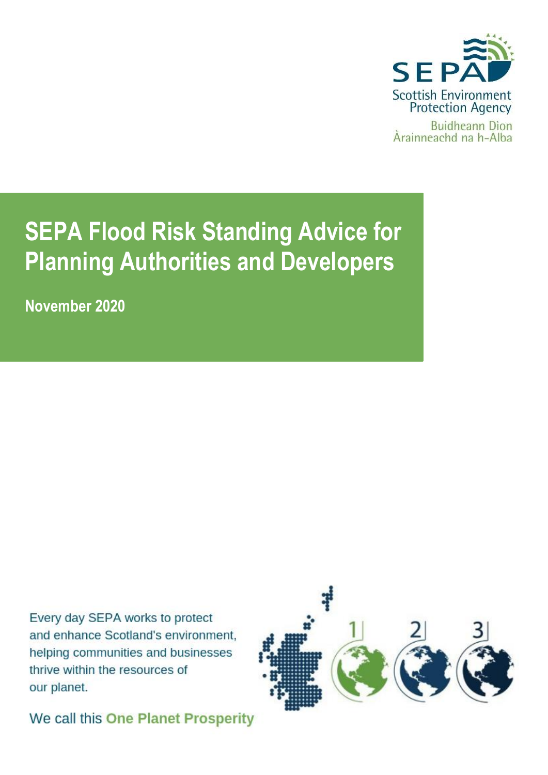

# **SEPA Flood Risk Standing Advice for Planning Authorities and Developers**

**November 2020** 

Every day SEPA works to protect and enhance Scotland's environment, helping communities and businesses thrive within the resources of our planet.



We call this One Planet Prosperity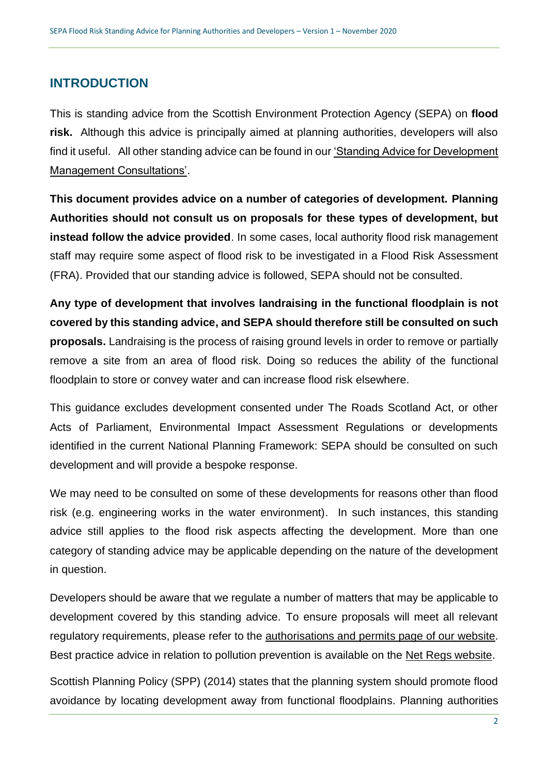## **INTRODUCTION**

This is standing advice from the Scottish Environment Protection Agency (SEPA) on **flood risk.** Although this advice is principally aimed at planning authorities, developers will also find it useful. All other standing advice can be found in ou[r 'Standing Advice for Development](https://www.sepa.org.uk/media/136130/sepa-standing-advice-for-planning-authorities-and-developers-on-development-management-consultations.pdf)  [Management Consultations'.](https://www.sepa.org.uk/media/136130/sepa-standing-advice-for-planning-authorities-and-developers-on-development-management-consultations.pdf)

**This document provides advice on a number of categories of development. Planning Authorities should not consult us on proposals for these types of development, but instead follow the advice provided**. In some cases, local authority flood risk management staff may require some aspect of flood risk to be investigated in a Flood Risk Assessment (FRA). Provided that our standing advice is followed, SEPA should not be consulted.

**Any type of development that involves landraising in the functional floodplain is not covered by this standing advice, and SEPA should therefore still be consulted on such proposals.** Landraising is the process of raising ground levels in order to remove or partially remove a site from an area of flood risk. Doing so reduces the ability of the functional floodplain to store or convey water and can increase flood risk elsewhere.

This guidance excludes development consented under The Roads Scotland Act, or other Acts of Parliament, Environmental Impact Assessment Regulations or developments identified in the current National Planning Framework: SEPA should be consulted on such development and will provide a bespoke response.

We may need to be consulted on some of these developments for reasons other than flood risk (e.g. engineering works in the water environment). In such instances, this standing advice still applies to the flood risk aspects affecting the development. More than one category of standing advice may be applicable depending on the nature of the development in question.

Developers should be aware that we regulate a number of matters that may be applicable to development covered by this standing advice. To ensure proposals will meet all relevant regulatory requirements, please refer to the [authorisations and permits page of our website.](https://www.sepa.org.uk/regulations/authorisations-and-permits/) Best practice advice in relation to pollution prevention is available on the Net [Regs website.](file:///C:/Users/alaban/AppData/Local/Microsoft/Windows/INetCache/Content.Outlook/21GYMWHA/NetRegs%20website)

Scottish Planning Policy (SPP) (2014) states that the planning system should promote flood avoidance by locating development away from functional floodplains. Planning authorities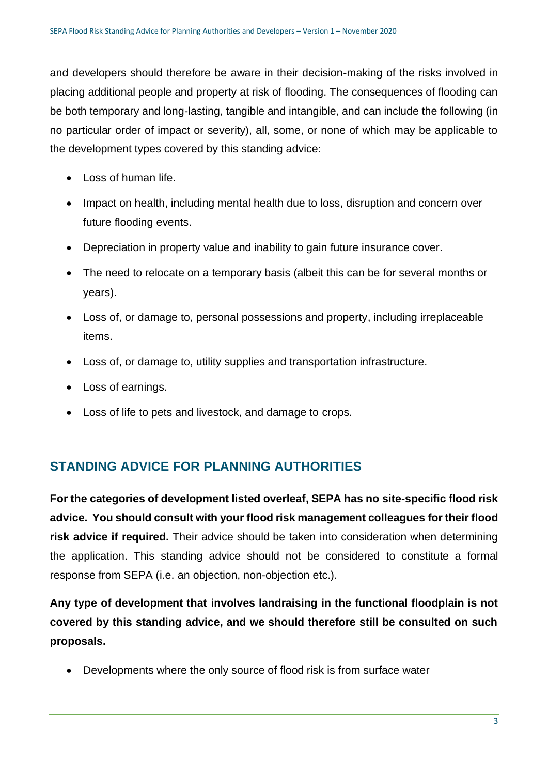and developers should therefore be aware in their decision-making of the risks involved in placing additional people and property at risk of flooding. The consequences of flooding can be both temporary and long-lasting, tangible and intangible, and can include the following (in no particular order of impact or severity), all, some, or none of which may be applicable to the development types covered by this standing advice:

- Loss of human life.
- Impact on health, including mental health due to loss, disruption and concern over future flooding events.
- Depreciation in property value and inability to gain future insurance cover.
- The need to relocate on a temporary basis (albeit this can be for several months or years).
- Loss of, or damage to, personal possessions and property, including irreplaceable items.
- Loss of, or damage to, utility supplies and transportation infrastructure.
- Loss of earnings.
- Loss of life to pets and livestock, and damage to crops.

## **STANDING ADVICE FOR PLANNING AUTHORITIES**

**For the categories of development listed overleaf, SEPA has no site-specific flood risk advice. You should consult with your flood risk management colleagues for their flood risk advice if required.** Their advice should be taken into consideration when determining the application. This standing advice should not be considered to constitute a formal response from SEPA (i.e. an objection, non-objection etc.).

**Any type of development that involves landraising in the functional floodplain is not covered by this standing advice, and we should therefore still be consulted on such proposals.**

• Developments where the only source of flood risk is from surface water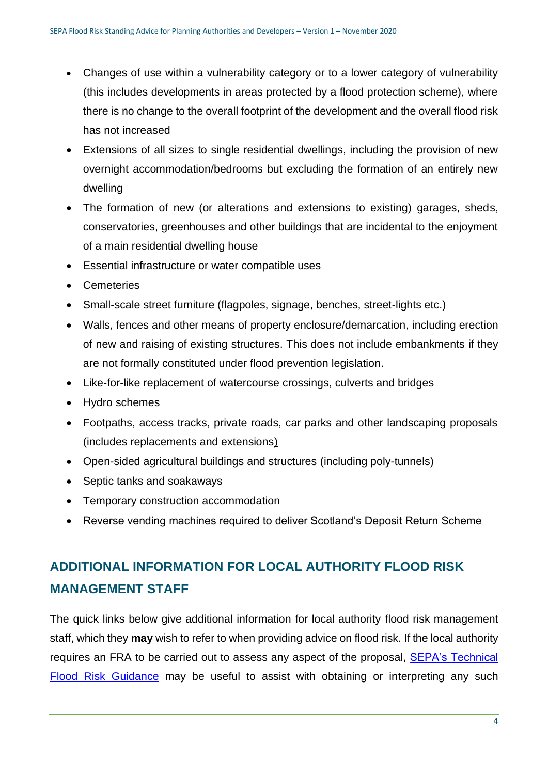- Changes of use within a vulnerability category or to a lower category of vulnerability (this includes developments in areas protected by a flood protection scheme), where there is no change to the overall footprint of the development and the overall flood risk has not increased
- Extensions of all sizes to single residential dwellings, including the provision of new overnight accommodation/bedrooms but excluding the formation of an entirely new dwelling
- The formation of new (or alterations and extensions to existing) garages, sheds, conservatories, greenhouses and other buildings that are incidental to the enjoyment of a main residential dwelling house
- Essential infrastructure or water compatible uses
- Cemeteries
- Small-scale street furniture (flagpoles, signage, benches, street-lights etc.)
- Walls, fences and other means of property enclosure/demarcation, including erection of new and raising of existing structures. This does not include embankments if they are not formally constituted under flood prevention legislation.
- Like-for-like replacement of watercourse crossings, culverts and bridges
- Hydro schemes
- Footpaths, access tracks, private roads, car parks and other landscaping proposals (includes replacements and extensions)
- Open-sided agricultural buildings and structures (including poly-tunnels)
- Septic tanks and soakaways
- Temporary construction accommodation
- Reverse vending machines required to deliver Scotland's Deposit Return Scheme

## **ADDITIONAL INFORMATION FOR LOCAL AUTHORITY FLOOD RISK MANAGEMENT STAFF**

The quick links below give additional information for local authority flood risk management staff, which they **may** wish to refer to when providing advice on flood risk. If the local authority requires an FRA to be carried out to assess any aspect of the proposal, [SEPA's Technical](https://www.sepa.org.uk/media/162602/ss-nfr-p-002-technical-flood-risk-guidance-for-stakeholders.pdf)  [Flood Risk Guidance](https://www.sepa.org.uk/media/162602/ss-nfr-p-002-technical-flood-risk-guidance-for-stakeholders.pdf) may be useful to assist with obtaining or interpreting any such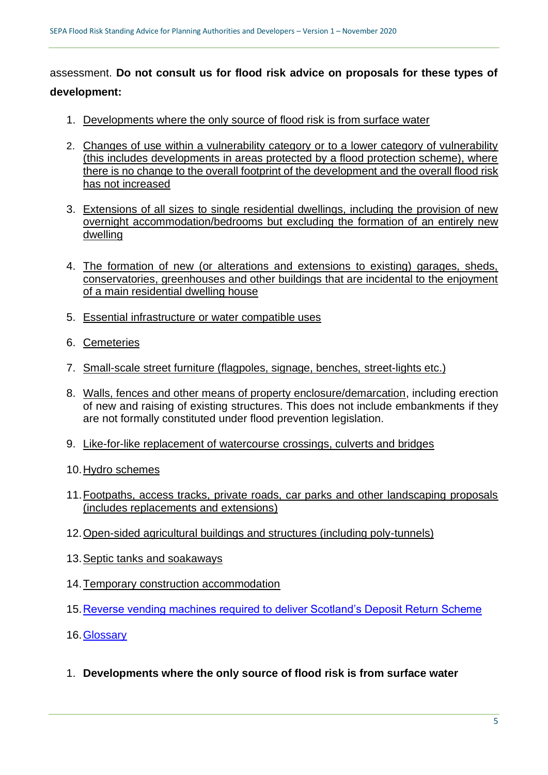assessment. **Do not consult us for flood risk advice on proposals for these types of development:**

- 1. [Developments where the only source of flood risk is from surface water](#page-4-0)
- 2. [Changes of use within a vulnerability category or to a lower category of vulnerability](#page-7-0)  [\(this includes developments in areas protected by a flood protection scheme\), where](#page-7-0)  [there is no change to the overall footprint of the development and the overall flood risk](#page-7-0)  [has not increased](#page-7-0)
- 3. [Extensions of all sizes to single residential dwellings, including the provision of new](#page-8-0)  [overnight accommodation/bedrooms but excluding](#page-8-0) the formation of an entirely new [dwelling](#page-8-0)
- 4. [The formation of new \(or alterations and extensions to existing\) garages, sheds,](#page-9-0)  conservatories, [greenhouses and other buildings that are incidental to the enjoyment](#page-9-0)  [of a main residential dwelling house](#page-9-0)
- 5. [Essential infrastructure or water compatible uses](#page-10-0)
- 6. [Cemeteries](#page-12-0)
- 7. [Small-scale street furniture \(flagpoles, signage, benches, street-lights etc.\)](#page-13-0)
- 8. [Walls, fences and other means of property enclosure/demarcation,](#page-13-1) including erection of new and raising of existing structures. This does not include embankments if they are not formally constituted under flood prevention legislation.
- 9. [Like-for-like replacement of watercourse crossings, culverts and bridges](#page-14-0)
- 10[.Hydro schemes](#page-15-0)
- 11[.Footpaths, access tracks, private roads, car parks and other landscaping proposals](#page-15-1)  [\(includes replacements and extensions\)](#page-15-1)
- 12[.Open-sided agricultural buildings and structures \(including poly-tunnels\)](#page-16-0)
- 13[.Septic tanks and soakaways](#page-16-1)
- 14[.Temporary construction accommodation](#page-17-0)
- 15[.Reverse vending machines required to deliver Scotland's Deposit Return Scheme](#page-17-1)
- 16[.Glossary](#page-17-2)
- <span id="page-4-0"></span>1. **Developments where the only source of flood risk is from surface water**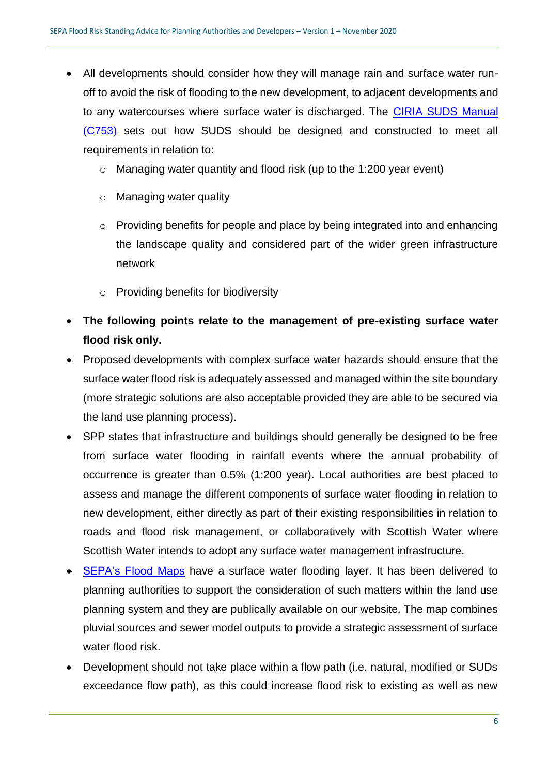- All developments should consider how they will manage rain and surface water runoff to avoid the risk of flooding to the new development, to adjacent developments and to any watercourses where surface water is discharged. The [CIRIA SUDS Manual](https://www.ciria.org/ItemDetail?iProductCode=C753F&Category=FREEPUBS)  [\(C753\)](https://www.ciria.org/ItemDetail?iProductCode=C753F&Category=FREEPUBS) sets out how SUDS should be designed and constructed to meet all requirements in relation to:
	- o Managing water quantity and flood risk (up to the 1:200 year event)
	- o Managing water quality
	- o Providing benefits for people and place by being integrated into and enhancing the landscape quality and considered part of the wider green infrastructure network
	- o Providing benefits for biodiversity
- **The following points relate to the management of pre-existing surface water flood risk only.**
- Proposed developments with complex surface water hazards should ensure that the surface water flood risk is adequately assessed and managed within the site boundary (more strategic solutions are also acceptable provided they are able to be secured via the land use planning process).
- SPP states that infrastructure and buildings should generally be designed to be free from surface water flooding in rainfall events where the annual probability of occurrence is greater than 0.5% (1:200 year). Local authorities are best placed to assess and manage the different components of surface water flooding in relation to new development, either directly as part of their existing responsibilities in relation to roads and flood risk management, or collaboratively with Scottish Water where Scottish Water intends to adopt any surface water management infrastructure.
- [SEPA's Flood Maps](http://map.sepa.org.uk/floodmap/map.htm) have a surface water flooding layer. It has been delivered to planning authorities to support the consideration of such matters within the land use planning system and they are publically available on our website. The map combines pluvial sources and sewer model outputs to provide a strategic assessment of surface water flood risk.
- Development should not take place within a flow path (i.e. natural, modified or SUDs exceedance flow path), as this could increase flood risk to existing as well as new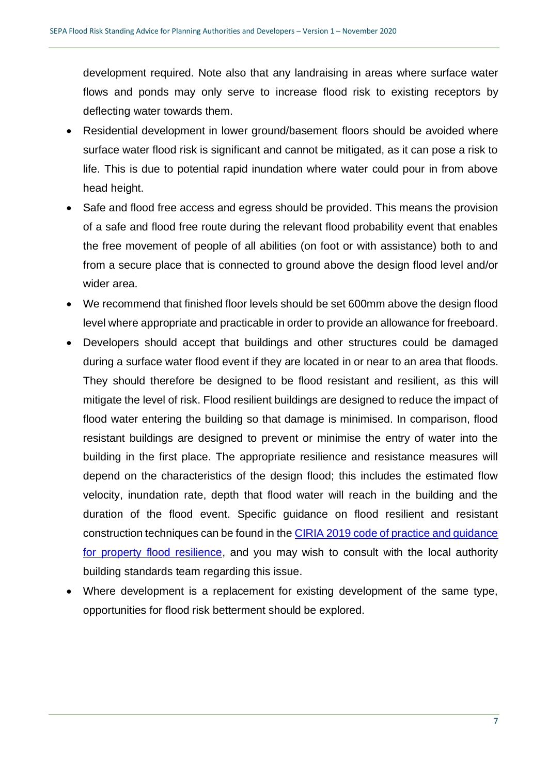development required. Note also that any landraising in areas where surface water flows and ponds may only serve to increase flood risk to existing receptors by deflecting water towards them.

- Residential development in lower ground/basement floors should be avoided where surface water flood risk is significant and cannot be mitigated, as it can pose a risk to life. This is due to potential rapid inundation where water could pour in from above head height.
- Safe and flood free access and egress should be provided. This means the provision of a safe and flood free route during the relevant flood probability event that enables the free movement of people of all abilities (on foot or with assistance) both to and from a secure place that is connected to ground above the design flood level and/or wider area.
- We recommend that finished floor levels should be set 600mm above the design flood level where appropriate and practicable in order to provide an allowance for freeboard.
- Developers should accept that buildings and other structures could be damaged during a surface water flood event if they are located in or near to an area that floods. They should therefore be designed to be flood resistant and resilient, as this will mitigate the level of risk. Flood resilient buildings are designed to reduce the impact of flood water entering the building so that damage is minimised. In comparison, flood resistant buildings are designed to prevent or minimise the entry of water into the building in the first place. The appropriate resilience and resistance measures will depend on the characteristics of the design flood; this includes the estimated flow velocity, inundation rate, depth that flood water will reach in the building and the duration of the flood event. Specific guidance on flood resilient and resistant construction techniques can be found in the [CIRIA 2019 code of practice and guidance](https://www.ciria.org/ItemDetail?iProductCode=C790F&Category=FREEPUBS)  [for property flood resilience,](https://www.ciria.org/ItemDetail?iProductCode=C790F&Category=FREEPUBS) and you may wish to consult with the local authority building standards team regarding this issue.
- Where development is a replacement for existing development of the same type, opportunities for flood risk betterment should be explored.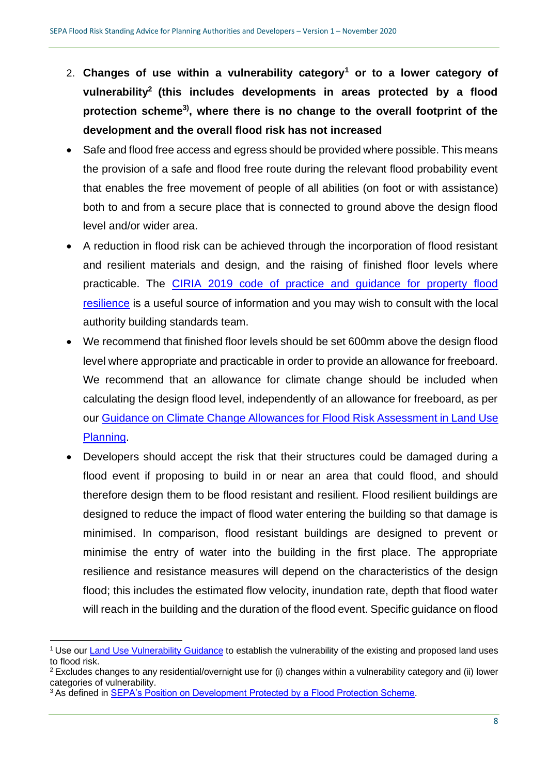- <span id="page-7-0"></span>2. **Changes of use within a vulnerability category<sup>1</sup> or to a lower category of vulnerability<sup>2</sup> (this includes developments in areas protected by a flood protection scheme3) , where there is no change to the overall footprint of the development and the overall flood risk has not increased**
- Safe and flood free access and egress should be provided where possible. This means the provision of a safe and flood free route during the relevant flood probability event that enables the free movement of people of all abilities (on foot or with assistance) both to and from a secure place that is connected to ground above the design flood level and/or wider area.
- A reduction in flood risk can be achieved through the incorporation of flood resistant and resilient materials and design, and the raising of finished floor levels where practicable. The [CIRIA 2019 code of practice and guidance for property flood](https://www.ciria.org/ItemDetail?iProductCode=C790F&Category=FREEPUBS)  [resilience](https://www.ciria.org/ItemDetail?iProductCode=C790F&Category=FREEPUBS) is a useful source of information and you may wish to consult with the local authority building standards team.
- We recommend that finished floor levels should be set 600mm above the design flood level where appropriate and practicable in order to provide an allowance for freeboard. We recommend that an allowance for climate change should be included when calculating the design flood level, independently of an allowance for freeboard, as per our [Guidance on Climate Change Allowances for Flood Risk Assessment in Land Use](https://www.sepa.org.uk/media/426913/lups_cc1.pdf)  [Planning.](https://www.sepa.org.uk/media/426913/lups_cc1.pdf)
- Developers should accept the risk that their structures could be damaged during a flood event if proposing to build in or near an area that could flood, and should therefore design them to be flood resistant and resilient. Flood resilient buildings are designed to reduce the impact of flood water entering the building so that damage is minimised. In comparison, flood resistant buildings are designed to prevent or minimise the entry of water into the building in the first place. The appropriate resilience and resistance measures will depend on the characteristics of the design flood; this includes the estimated flow velocity, inundation rate, depth that flood water will reach in the building and the duration of the flood event. Specific guidance on flood

<sup>&</sup>lt;sup>1</sup> Use our [Land Use Vulnerability Guidance](https://www.sepa.org.uk/media/143416/land-use-vulnerability-guidance.pdf) to establish the vulnerability of the existing and proposed land uses to flood risk.

 $2$  Excludes changes to any residential/overnight use for (i) changes within a vulnerability category and (ii) lower categories of vulnerability.

<sup>&</sup>lt;sup>3</sup> As defined in [SEPA's Position on Development Protected by a Flood Protection Scheme.](https://www.sepa.org.uk/media/306610/planning-information-note-4-sepa-position-on-development-protected-by-a-flood-protection-scheme.pdf)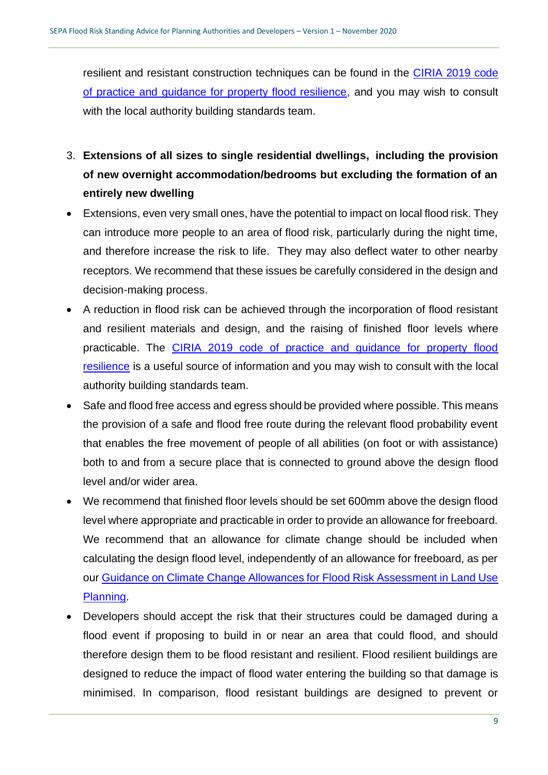<span id="page-8-0"></span>resilient and resistant construction techniques can be found in the [CIRIA 2019 code](https://www.ciria.org/ItemDetail?iProductCode=C790F&Category=FREEPUBS)  [of practice and guidance for property flood resilience,](https://www.ciria.org/ItemDetail?iProductCode=C790F&Category=FREEPUBS) and you may wish to consult with the local authority building standards team.

- 3. **Extensions of all sizes to single residential dwellings, [including the provision](#page-8-0)  [of new overnight accommodation/bedrooms but excluding the formation of an](#page-8-0)  [entirely new dwelling](#page-8-0)**
- Extensions, even very small ones, have the potential to impact on local flood risk. They can introduce more people to an area of flood risk, particularly during the night time, and therefore increase the risk to life. They may also deflect water to other nearby receptors. We recommend that these issues be carefully considered in the design and decision-making process.
- A reduction in flood risk can be achieved through the incorporation of flood resistant and resilient materials and design, and the raising of finished floor levels where practicable. The [CIRIA 2019 code of practice and guidance for property flood](https://www.ciria.org/ItemDetail?iProductCode=C790F&Category=FREEPUBS)  [resilience](https://www.ciria.org/ItemDetail?iProductCode=C790F&Category=FREEPUBS) is a useful source of information and you may wish to consult with the local authority building standards team.
- Safe and flood free access and egress should be provided where possible. This means the provision of a safe and flood free route during the relevant flood probability event that enables the free movement of people of all abilities (on foot or with assistance) both to and from a secure place that is connected to ground above the design flood level and/or wider area.
- We recommend that finished floor levels should be set 600mm above the design flood level where appropriate and practicable in order to provide an allowance for freeboard. We recommend that an allowance for climate change should be included when calculating the design flood level, independently of an allowance for freeboard, as per our [Guidance on Climate Change Allowances for Flood Risk Assessment in Land Use](https://www.sepa.org.uk/media/426913/lups_cc1.pdf)  [Planning.](https://www.sepa.org.uk/media/426913/lups_cc1.pdf)
- Developers should accept the risk that their structures could be damaged during a flood event if proposing to build in or near an area that could flood, and should therefore design them to be flood resistant and resilient. Flood resilient buildings are designed to reduce the impact of flood water entering the building so that damage is minimised. In comparison, flood resistant buildings are designed to prevent or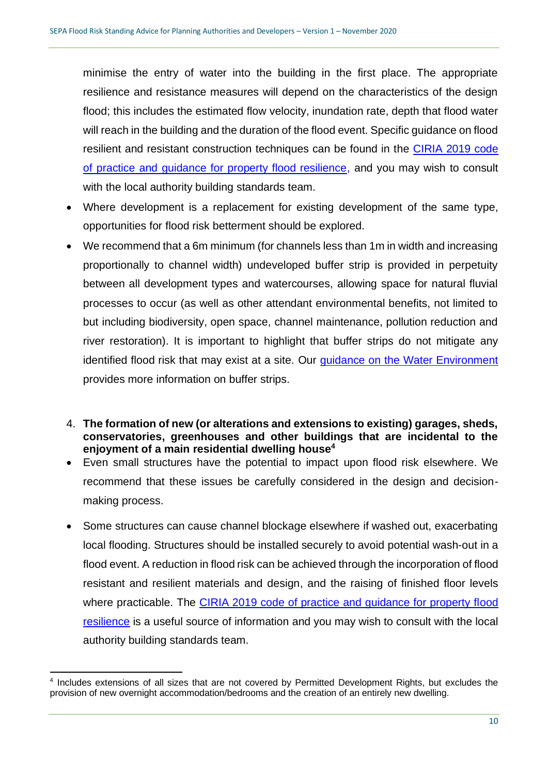minimise the entry of water into the building in the first place. The appropriate resilience and resistance measures will depend on the characteristics of the design flood; this includes the estimated flow velocity, inundation rate, depth that flood water will reach in the building and the duration of the flood event. Specific guidance on flood resilient and resistant construction techniques can be found in the [CIRIA 2019 code](https://www.ciria.org/ItemDetail?iProductCode=C790F&Category=FREEPUBS)  [of practice and guidance for property flood resilience,](https://www.ciria.org/ItemDetail?iProductCode=C790F&Category=FREEPUBS) and you may wish to consult with the local authority building standards team.

- Where development is a replacement for existing development of the same type, opportunities for flood risk betterment should be explored.
- We recommend that a 6m minimum (for channels less than 1m in width and increasing proportionally to channel width) undeveloped buffer strip is provided in perpetuity between all development types and watercourses, allowing space for natural fluvial processes to occur (as well as other attendant environmental benefits, not limited to but including biodiversity, open space, channel maintenance, pollution reduction and river restoration). It is important to highlight that buffer strips do not mitigate any identified flood risk that may exist at a site. Our [guidance on the Water Environment](https://www.sepa.org.uk/media/219894/lups-bp-gu2b-water-environment-planning-background-paper.pdf) provides more information on buffer strips.
- <span id="page-9-0"></span>4. **The formation of new (or alterations and extensions to existing) garages, sheds, conservatories, greenhouses and other buildings that are incidental to the enjoyment of a main residential dwelling house<sup>4</sup>**
- Even small structures have the potential to impact upon flood risk elsewhere. We recommend that these issues be carefully considered in the design and decisionmaking process.
- Some structures can cause channel blockage elsewhere if washed out, exacerbating local flooding. Structures should be installed securely to avoid potential wash-out in a flood event. A reduction in flood risk can be achieved through the incorporation of flood resistant and resilient materials and design, and the raising of finished floor levels where practicable. The [CIRIA 2019 code of practice and guidance for property flood](https://www.ciria.org/ItemDetail?iProductCode=C790F&Category=FREEPUBS)  [resilience](https://www.ciria.org/ItemDetail?iProductCode=C790F&Category=FREEPUBS) is a useful source of information and you may wish to consult with the local authority building standards team.

<sup>&</sup>lt;sup>4</sup> Includes extensions of all sizes that are not covered by Permitted Development Rights, but excludes the provision of new overnight accommodation/bedrooms and the creation of an entirely new dwelling.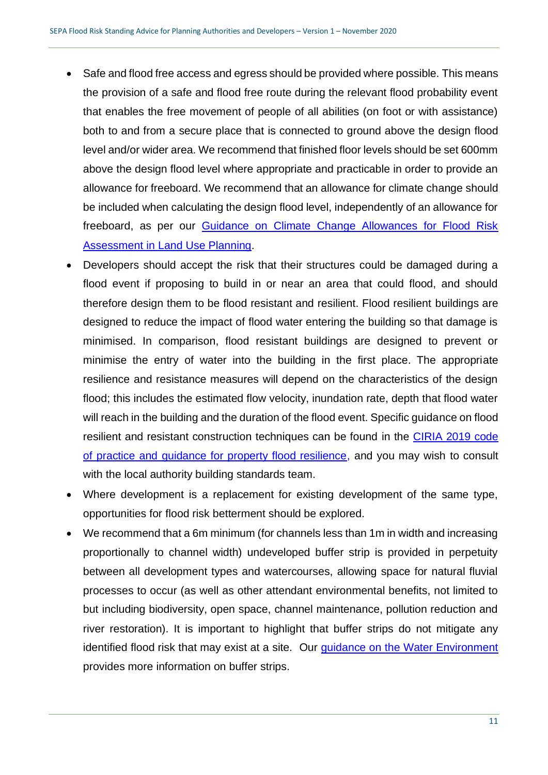- Safe and flood free access and egress should be provided where possible. This means the provision of a safe and flood free route during the relevant flood probability event that enables the free movement of people of all abilities (on foot or with assistance) both to and from a secure place that is connected to ground above the design flood level and/or wider area. We recommend that finished floor levels should be set 600mm above the design flood level where appropriate and practicable in order to provide an allowance for freeboard. We recommend that an allowance for climate change should be included when calculating the design flood level, independently of an allowance for freeboard, as per our [Guidance on Climate Change Allowances for Flood Risk](https://www.sepa.org.uk/media/426913/lups_cc1.pdf)  [Assessment in Land Use Planning.](https://www.sepa.org.uk/media/426913/lups_cc1.pdf)
- Developers should accept the risk that their structures could be damaged during a flood event if proposing to build in or near an area that could flood, and should therefore design them to be flood resistant and resilient. Flood resilient buildings are designed to reduce the impact of flood water entering the building so that damage is minimised. In comparison, flood resistant buildings are designed to prevent or minimise the entry of water into the building in the first place. The appropriate resilience and resistance measures will depend on the characteristics of the design flood; this includes the estimated flow velocity, inundation rate, depth that flood water will reach in the building and the duration of the flood event. Specific guidance on flood resilient and resistant construction techniques can be found in the [CIRIA 2019 code](https://www.ciria.org/ItemDetail?iProductCode=C790F&Category=FREEPUBS)  [of practice and guidance for property flood resilience,](https://www.ciria.org/ItemDetail?iProductCode=C790F&Category=FREEPUBS) and you may wish to consult with the local authority building standards team.
- Where development is a replacement for existing development of the same type, opportunities for flood risk betterment should be explored.
- <span id="page-10-0"></span>• We recommend that a 6m minimum (for channels less than 1m in width and increasing proportionally to channel width) undeveloped buffer strip is provided in perpetuity between all development types and watercourses, allowing space for natural fluvial processes to occur (as well as other attendant environmental benefits, not limited to but including biodiversity, open space, channel maintenance, pollution reduction and river restoration). It is important to highlight that buffer strips do not mitigate any identified flood risk that may exist at a site. Our [guidance on the Water Environment](https://www.sepa.org.uk/media/219894/lups-bp-gu2b-water-environment-planning-background-paper.pdf) provides more information on buffer strips.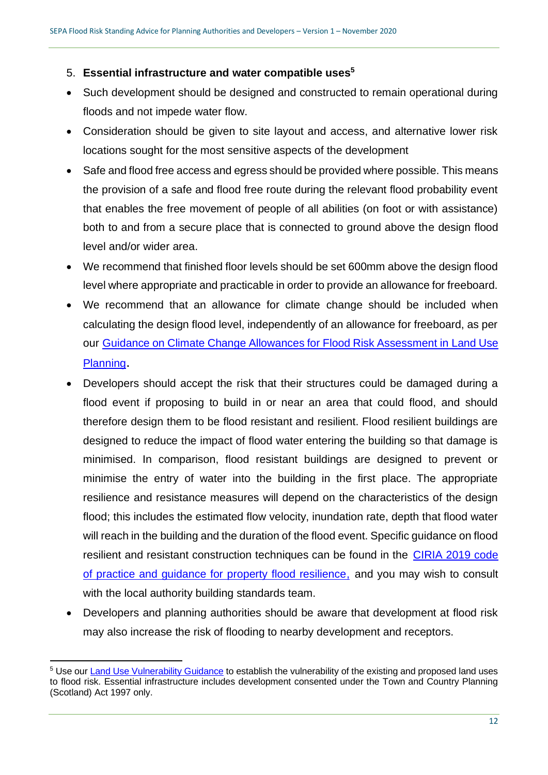### 5. **Essential infrastructure and water compatible uses<sup>5</sup>**

- Such development should be designed and constructed to remain operational during floods and not impede water flow.
- Consideration should be given to site layout and access, and alternative lower risk locations sought for the most sensitive aspects of the development
- Safe and flood free access and egress should be provided where possible. This means the provision of a safe and flood free route during the relevant flood probability event that enables the free movement of people of all abilities (on foot or with assistance) both to and from a secure place that is connected to ground above the design flood level and/or wider area.
- We recommend that finished floor levels should be set 600mm above the design flood level where appropriate and practicable in order to provide an allowance for freeboard.
- We recommend that an allowance for climate change should be included when calculating the design flood level, independently of an allowance for freeboard, as per our [Guidance on Climate Change Allowances for Flood Risk Assessment in Land Use](https://www.sepa.org.uk/media/426913/lups_cc1.pdf)  [Planning](https://www.sepa.org.uk/media/426913/lups_cc1.pdf).
- Developers should accept the risk that their structures could be damaged during a flood event if proposing to build in or near an area that could flood, and should therefore design them to be flood resistant and resilient. Flood resilient buildings are designed to reduce the impact of flood water entering the building so that damage is minimised. In comparison, flood resistant buildings are designed to prevent or minimise the entry of water into the building in the first place. The appropriate resilience and resistance measures will depend on the characteristics of the design flood; this includes the estimated flow velocity, inundation rate, depth that flood water will reach in the building and the duration of the flood event. Specific guidance on flood resilient and resistant construction techniques can be found in the [CIRIA 2019 code](https://www.ciria.org/ItemDetail?iProductCode=C790F&Category=FREEPUBS)  [of practice and guidance for property flood resilience,](https://www.ciria.org/ItemDetail?iProductCode=C790F&Category=FREEPUBS) and you may wish to consult with the local authority building standards team.
- Developers and planning authorities should be aware that development at flood risk may also increase the risk of flooding to nearby development and receptors.

<sup>5</sup> Use our [Land Use Vulnerability Guidance](https://www.sepa.org.uk/media/143416/land-use-vulnerability-guidance.pdf) to establish the vulnerability of the existing and proposed land uses to flood risk. Essential infrastructure includes development consented under the Town and Country Planning (Scotland) Act 1997 only.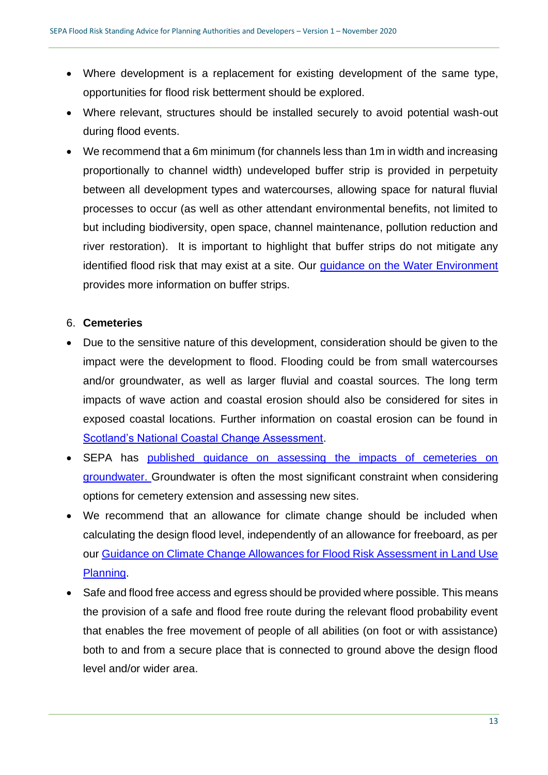- Where development is a replacement for existing development of the same type, opportunities for flood risk betterment should be explored.
- Where relevant, structures should be installed securely to avoid potential wash-out during flood events.
- We recommend that a 6m minimum (for channels less than 1m in width and increasing proportionally to channel width) undeveloped buffer strip is provided in perpetuity between all development types and watercourses, allowing space for natural fluvial processes to occur (as well as other attendant environmental benefits, not limited to but including biodiversity, open space, channel maintenance, pollution reduction and river restoration). It is important to highlight that buffer strips do not mitigate any identified flood risk that may exist at a site. Our [guidance on the Water Environment](https://www.sepa.org.uk/media/219894/lups-bp-gu2b-water-environment-planning-background-paper.pdf) provides more information on buffer strips.

## <span id="page-12-0"></span>6. **Cemeteries**

- Due to the sensitive nature of this development, consideration should be given to the impact were the development to flood. Flooding could be from small watercourses and/or groundwater, as well as larger fluvial and coastal sources. The long term impacts of wave action and coastal erosion should also be considered for sites in exposed coastal locations. Further information on coastal erosion can be found in [Scotland's National Coastal Change Assessment.](http://www.dynamiccoast.com/)
- SEPA has published guidance on assessing the impacts of cemeteries on [groundwater. G](https://www.sepa.org.uk/media/143364/lups-gu32-guidance-on-assessing-the-impacts-of-cemetries-on-groundwater.pdf)roundwater is often the most significant constraint when considering options for cemetery extension and assessing new sites.
- We recommend that an allowance for climate change should be included when calculating the design flood level, independently of an allowance for freeboard, as per our [Guidance on Climate Change Allowances for Flood Risk Assessment in Land Use](https://www.sepa.org.uk/media/426913/lups_cc1.pdf)  [Planning.](https://www.sepa.org.uk/media/426913/lups_cc1.pdf)
- Safe and flood free access and egress should be provided where possible. This means the provision of a safe and flood free route during the relevant flood probability event that enables the free movement of people of all abilities (on foot or with assistance) both to and from a secure place that is connected to ground above the design flood level and/or wider area.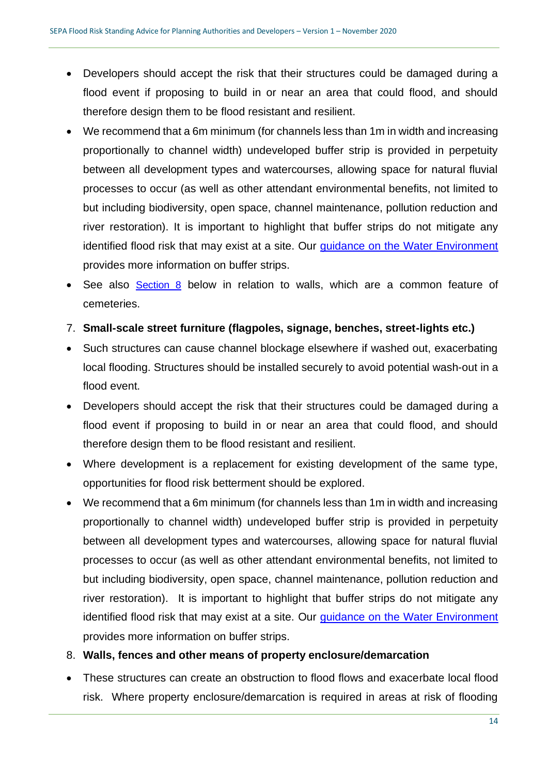- Developers should accept the risk that their structures could be damaged during a flood event if proposing to build in or near an area that could flood, and should therefore design them to be flood resistant and resilient.
- We recommend that a 6m minimum (for channels less than 1m in width and increasing proportionally to channel width) undeveloped buffer strip is provided in perpetuity between all development types and watercourses, allowing space for natural fluvial processes to occur (as well as other attendant environmental benefits, not limited to but including biodiversity, open space, channel maintenance, pollution reduction and river restoration). It is important to highlight that buffer strips do not mitigate any identified flood risk that may exist at a site. Our [guidance on the Water Environment](https://www.sepa.org.uk/media/219894/lups-bp-gu2b-water-environment-planning-background-paper.pdf) provides more information on buffer strips.
- See also [Section 8](#page-13-1) below in relation to walls, which are a common feature of cemeteries.
- <span id="page-13-0"></span>7. **Small-scale street furniture (flagpoles, signage, benches, street-lights etc.)**
- Such structures can cause channel blockage elsewhere if washed out, exacerbating local flooding. Structures should be installed securely to avoid potential wash-out in a flood event.
- Developers should accept the risk that their structures could be damaged during a flood event if proposing to build in or near an area that could flood, and should therefore design them to be flood resistant and resilient.
- Where development is a replacement for existing development of the same type, opportunities for flood risk betterment should be explored.
- We recommend that a 6m minimum (for channels less than 1m in width and increasing proportionally to channel width) undeveloped buffer strip is provided in perpetuity between all development types and watercourses, allowing space for natural fluvial processes to occur (as well as other attendant environmental benefits, not limited to but including biodiversity, open space, channel maintenance, pollution reduction and river restoration). It is important to highlight that buffer strips do not mitigate any identified flood risk that may exist at a site. Our [guidance on the Water Environment](https://www.sepa.org.uk/media/219894/lups-bp-gu2b-water-environment-planning-background-paper.pdf) provides more information on buffer strips.
- <span id="page-13-1"></span>8. **Walls, fences and other means of property enclosure/demarcation**
- These structures can create an obstruction to flood flows and exacerbate local flood risk. Where property enclosure/demarcation is required in areas at risk of flooding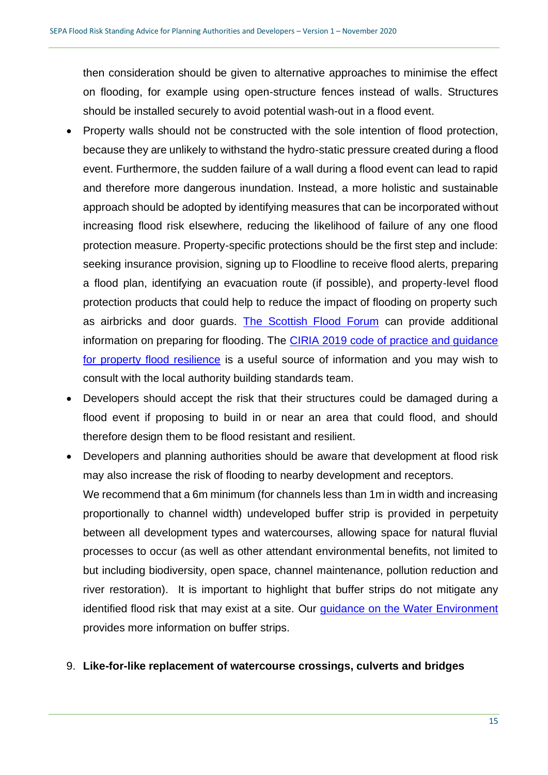then consideration should be given to alternative approaches to minimise the effect on flooding, for example using open-structure fences instead of walls. Structures should be installed securely to avoid potential wash-out in a flood event.

- Property walls should not be constructed with the sole intention of flood protection, because they are unlikely to withstand the hydro-static pressure created during a flood event. Furthermore, the sudden failure of a wall during a flood event can lead to rapid and therefore more dangerous inundation. Instead, a more holistic and sustainable approach should be adopted by identifying measures that can be incorporated without increasing flood risk elsewhere, reducing the likelihood of failure of any one flood protection measure. Property-specific protections should be the first step and include: seeking insurance provision, signing up to Floodline to receive flood alerts, preparing a flood plan, identifying an evacuation route (if possible), and property-level flood protection products that could help to reduce the impact of flooding on property such as airbricks and door guards. [The Scottish Flood Forum](https://scottishfloodforum.org/) can provide additional information on preparing for flooding. The [CIRIA 2019 code of practice and guidance](https://www.ciria.org/ItemDetail?iProductCode=C790F&Category=FREEPUBS)  [for property flood resilience](https://www.ciria.org/ItemDetail?iProductCode=C790F&Category=FREEPUBS) is a useful source of information and you may wish to consult with the local authority building standards team.
- Developers should accept the risk that their structures could be damaged during a flood event if proposing to build in or near an area that could flood, and should therefore design them to be flood resistant and resilient.
- Developers and planning authorities should be aware that development at flood risk may also increase the risk of flooding to nearby development and receptors. We recommend that a 6m minimum (for channels less than 1m in width and increasing proportionally to channel width) undeveloped buffer strip is provided in perpetuity between all development types and watercourses, allowing space for natural fluvial processes to occur (as well as other attendant environmental benefits, not limited to but including biodiversity, open space, channel maintenance, pollution reduction and river restoration). It is important to highlight that buffer strips do not mitigate any identified flood risk that may exist at a site. Our [guidance on the Water Environment](https://www.sepa.org.uk/media/219894/lups-bp-gu2b-water-environment-planning-background-paper.pdf) provides more information on buffer strips.
- <span id="page-14-0"></span>9. **Like-for-like replacement of watercourse crossings, culverts and bridges**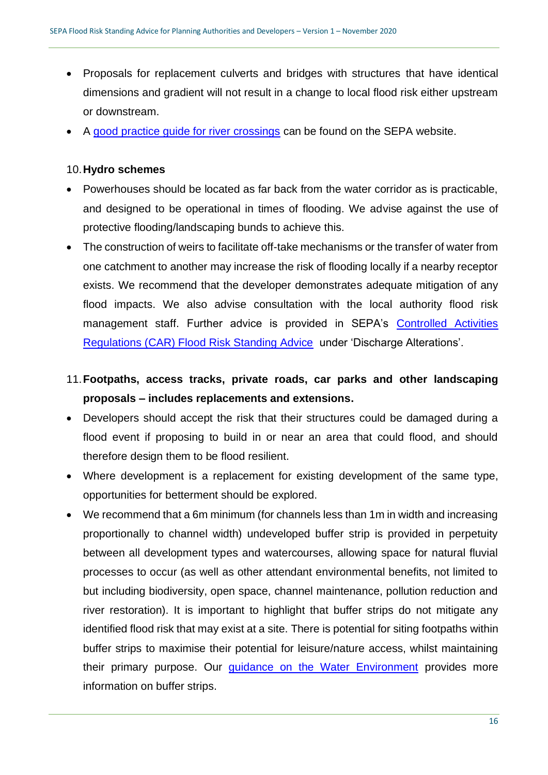- Proposals for replacement culverts and bridges with structures that have identical dimensions and gradient will not result in a change to local flood risk either upstream or downstream.
- A [good practice guide for river crossings](https://d3n8a8pro7vhmx.cloudfront.net/yyccares/pages/16/attachments/original/1499142327/SEPA_River_crossings_-_good_practice_guide.pdf?1499142327) can be found on the SEPA website.

#### <span id="page-15-0"></span>10.**Hydro schemes**

- Powerhouses should be located as far back from the water corridor as is practicable, and designed to be operational in times of flooding. We advise against the use of protective flooding/landscaping bunds to achieve this.
- The construction of weirs to facilitate off-take mechanisms or the transfer of water from one catchment to another may increase the risk of flooding locally if a nearby receptor exists. We recommend that the developer demonstrates adequate mitigation of any flood impacts. We also advise consultation with the local authority flood risk management staff. Further advice is provided in SEPA's Controlled Activities [Regulations \(CAR\) Flood Risk Standing Advice](https://www.sepa.org.uk/media/94134/car-flood-risk-standing-advice-for-engineering-discharge-and-impoundment-activities.pdf) under 'Discharge Alterations'.

## <span id="page-15-1"></span>11.**Footpaths, access tracks, private roads, car parks and other landscaping proposals – includes replacements and extensions.**

- Developers should accept the risk that their structures could be damaged during a flood event if proposing to build in or near an area that could flood, and should therefore design them to be flood resilient.
- Where development is a replacement for existing development of the same type, opportunities for betterment should be explored.
- We recommend that a 6m minimum (for channels less than 1m in width and increasing proportionally to channel width) undeveloped buffer strip is provided in perpetuity between all development types and watercourses, allowing space for natural fluvial processes to occur (as well as other attendant environmental benefits, not limited to but including biodiversity, open space, channel maintenance, pollution reduction and river restoration). It is important to highlight that buffer strips do not mitigate any identified flood risk that may exist at a site. There is potential for siting footpaths within buffer strips to maximise their potential for leisure/nature access, whilst maintaining their primary purpose. Our *guidance* on the Water Environment provides more information on buffer strips.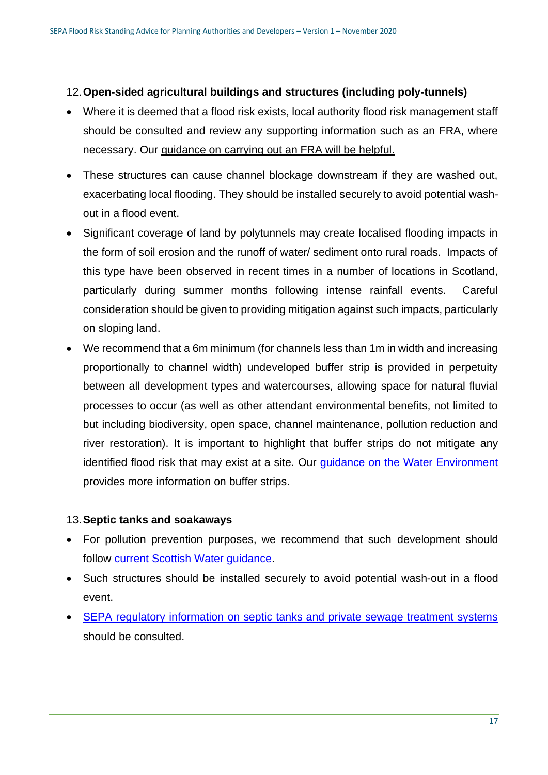## <span id="page-16-0"></span>12.**Open-sided agricultural buildings and structures (including poly-tunnels)**

- Where it is deemed that a flood risk exists, local authority flood risk management staff should be consulted and review any supporting information such as an FRA, where necessary. Our [guidance on carrying out an FRA will be helpful.](https://www.sepa.org.uk/media/162602/ss-nfr-p-002-technical-flood-risk-guidance-for-stakeholders.pdf)
- These structures can cause channel blockage downstream if they are washed out, exacerbating local flooding. They should be installed securely to avoid potential washout in a flood event.
- Significant coverage of land by polytunnels may create localised flooding impacts in the form of soil erosion and the runoff of water/ sediment onto rural roads. Impacts of this type have been observed in recent times in a number of locations in Scotland, particularly during summer months following intense rainfall events. Careful consideration should be given to providing mitigation against such impacts, particularly on sloping land.
- We recommend that a 6m minimum (for channels less than 1m in width and increasing proportionally to channel width) undeveloped buffer strip is provided in perpetuity between all development types and watercourses, allowing space for natural fluvial processes to occur (as well as other attendant environmental benefits, not limited to but including biodiversity, open space, channel maintenance, pollution reduction and river restoration). It is important to highlight that buffer strips do not mitigate any identified flood risk that may exist at a site. Our [guidance on the Water Environment](https://www.sepa.org.uk/media/219894/lups-bp-gu2b-water-environment-planning-background-paper.pdf) provides more information on buffer strips.

## <span id="page-16-1"></span>13.**Septic tanks and soakaways**

- For pollution prevention purposes, we recommend that such development should follow [current Scottish Water guidance.](https://www.scottishwater.co.uk/your-home/your-waste-water/septic-tanks)
- Such structures should be installed securely to avoid potential wash-out in a flood event.
- [SEPA regulatory information on septic tanks and private sewage treatment systems](https://www.sepa.org.uk/regulations/water/septic-tanks-and-private-sewage-treatment-systems/) should be consulted.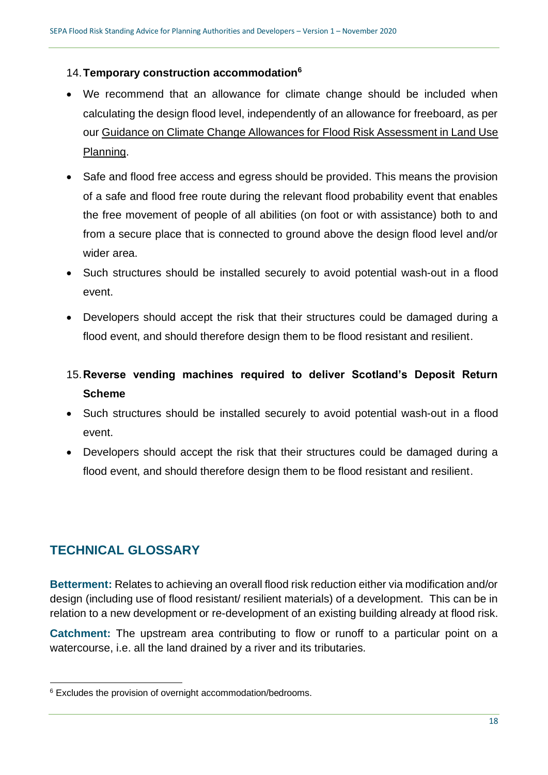## <span id="page-17-0"></span>14.**Temporary construction accommodation<sup>6</sup>**

- We recommend that an allowance for climate change should be included when calculating the design flood level, independently of an allowance for freeboard, as per our [Guidance on Climate Change Allowances for Flood Risk Assessment in Land Use](https://www.sepa.org.uk/media/426913/lups_cc1.pdf)  [Planning.](https://www.sepa.org.uk/media/426913/lups_cc1.pdf)
- Safe and flood free access and egress should be provided. This means the provision of a safe and flood free route during the relevant flood probability event that enables the free movement of people of all abilities (on foot or with assistance) both to and from a secure place that is connected to ground above the design flood level and/or wider area.
- Such structures should be installed securely to avoid potential wash-out in a flood event.
- <span id="page-17-1"></span>• Developers should accept the risk that their structures could be damaged during a flood event, and should therefore design them to be flood resistant and resilient.
- 15.**Reverse vending machines required to deliver Scotland's Deposit Return Scheme**
- Such structures should be installed securely to avoid potential wash-out in a flood event.
- <span id="page-17-2"></span>• Developers should accept the risk that their structures could be damaged during a flood event, and should therefore design them to be flood resistant and resilient.

## **TECHNICAL GLOSSARY**

**Betterment:** Relates to achieving an overall flood risk reduction either via modification and/or design (including use of flood resistant/ resilient materials) of a development. This can be in relation to a new development or re-development of an existing building already at flood risk.

**Catchment:** The upstream area contributing to flow or runoff to a particular point on a watercourse, i.e. all the land drained by a river and its tributaries.

<sup>&</sup>lt;sup>6</sup> Excludes the provision of overnight accommodation/bedrooms.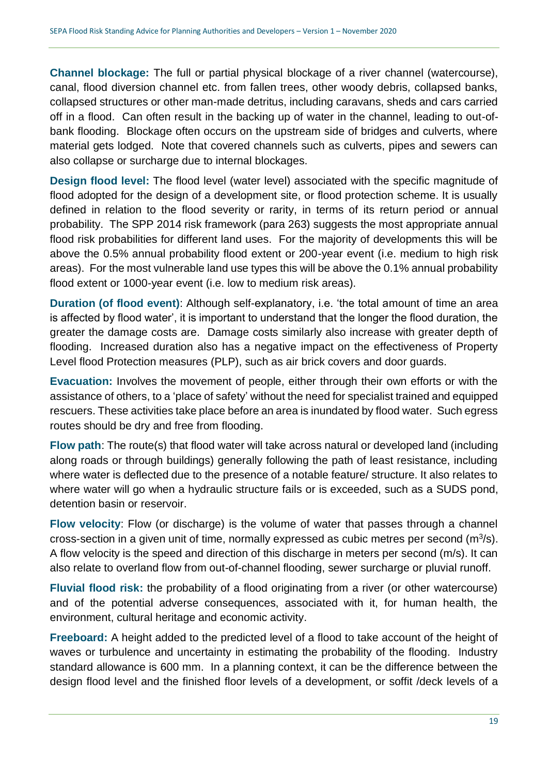**Channel blockage:** The full or partial physical blockage of a river channel (watercourse), canal, flood diversion channel etc. from fallen trees, other woody debris, collapsed banks, collapsed structures or other man-made detritus, including caravans, sheds and cars carried off in a flood. Can often result in the backing up of water in the channel, leading to out-ofbank flooding. Blockage often occurs on the upstream side of bridges and culverts, where material gets lodged. Note that covered channels such as culverts, pipes and sewers can also collapse or surcharge due to internal blockages.

**Design flood level:** The flood level (water level) associated with the specific magnitude of flood adopted for the design of a development site, or flood protection scheme. It is usually defined in relation to the flood severity or rarity, in terms of its return period or annual probability. The SPP 2014 risk framework (para 263) suggests the most appropriate annual flood risk probabilities for different land uses. For the majority of developments this will be above the 0.5% annual probability flood extent or 200-year event (i.e. medium to high risk areas). For the most vulnerable land use types this will be above the 0.1% annual probability flood extent or 1000-year event (i.e. low to medium risk areas).

**Duration (of flood event)**: Although self-explanatory, i.e. 'the total amount of time an area is affected by flood water', it is important to understand that the longer the flood duration, the greater the damage costs are. Damage costs similarly also increase with greater depth of flooding. Increased duration also has a negative impact on the effectiveness of Property Level flood Protection measures (PLP), such as air brick covers and door guards.

**Evacuation:** Involves the movement of people, either through their own efforts or with the assistance of others, to a 'place of safety' without the need for specialist trained and equipped rescuers. These activities take place before an area is inundated by flood water. Such egress routes should be dry and free from flooding.

**Flow path**: The route(s) that flood water will take across natural or developed land (including along roads or through buildings) generally following the path of least resistance, including where water is deflected due to the presence of a notable feature/ structure. It also relates to where water will go when a hydraulic structure fails or is exceeded, such as a SUDS pond, detention basin or reservoir.

**Flow velocity**: Flow (or discharge) is the volume of water that passes through a channel cross-section in a given unit of time, normally expressed as cubic metres per second  $(m^3/s)$ . A flow velocity is the speed and direction of this discharge in meters per second (m/s). It can also relate to overland flow from out-of-channel flooding, sewer surcharge or pluvial runoff.

**Fluvial flood risk:** the probability of a flood originating from a river (or other watercourse) and of the potential adverse consequences, associated with it, for human health, the environment, cultural heritage and economic activity.

**Freeboard:** A height added to the predicted level of a flood to take account of the height of waves or turbulence and uncertainty in estimating the probability of the flooding. Industry standard allowance is 600 mm. In a planning context, it can be the difference between the design flood level and the finished floor levels of a development, or soffit /deck levels of a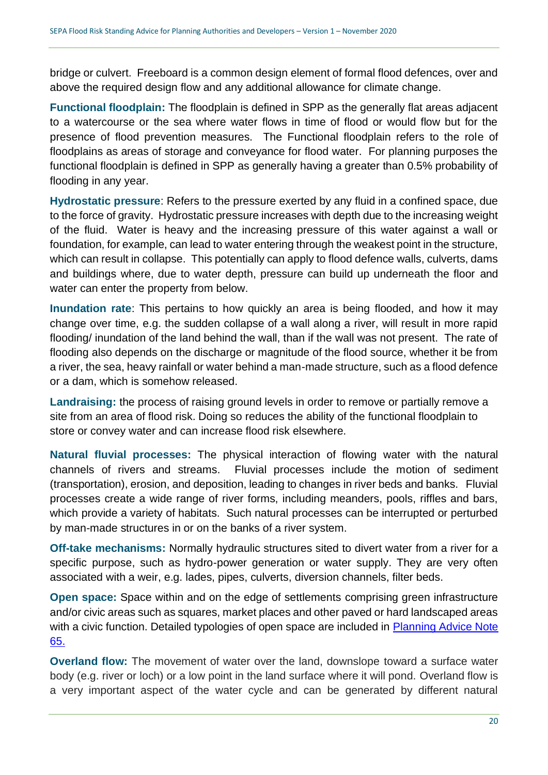bridge or culvert. Freeboard is a common design element of formal flood defences, over and above the required design flow and any additional allowance for climate change.

**Functional floodplain:** The floodplain is defined in SPP as the generally flat areas adjacent to a watercourse or the sea where water flows in time of flood or would flow but for the presence of flood prevention measures. The Functional floodplain refers to the role of floodplains as areas of storage and conveyance for flood water. For planning purposes the functional floodplain is defined in SPP as generally having a greater than 0.5% probability of flooding in any year.

**Hydrostatic pressure**: Refers to the pressure exerted by any fluid in a confined space, due to the force of gravity. Hydrostatic pressure increases with depth due to the increasing weight of the fluid. Water is heavy and the increasing pressure of this water against a wall or foundation, for example, can lead to water entering through the weakest point in the structure, which can result in collapse. This potentially can apply to flood defence walls, culverts, dams and buildings where, due to water depth, pressure can build up underneath the floor and water can enter the property from below.

**Inundation rate**: This pertains to how quickly an area is being flooded, and how it may change over time, e.g. the sudden collapse of a wall along a river, will result in more rapid flooding/ inundation of the land behind the wall, than if the wall was not present. The rate of flooding also depends on the discharge or magnitude of the flood source, whether it be from a river, the sea, heavy rainfall or water behind a man-made structure, such as a flood defence or a dam, which is somehow released.

**Landraising:** the process of raising ground levels in order to remove or partially remove a site from an area of flood risk. Doing so reduces the ability of the functional floodplain to store or convey water and can increase flood risk elsewhere.

**Natural fluvial processes:** The physical interaction of flowing water with the natural channels of rivers and streams. Fluvial processes include the motion of sediment (transportation), erosion, and deposition, leading to changes in river beds and banks. Fluvial processes create a wide range of river forms, including meanders, pools, riffles and bars, which provide a variety of habitats. Such natural processes can be interrupted or perturbed by man-made structures in or on the banks of a river system.

**Off-take mechanisms:** Normally hydraulic structures sited to divert water from a river for a specific purpose, such as hydro-power generation or water supply. They are very often associated with a weir, e.g. lades, pipes, culverts, diversion channels, filter beds.

**Open space:** Space within and on the edge of settlements comprising green infrastructure and/or civic areas such as squares, market places and other paved or hard landscaped areas with a civic function. Detailed typologies of open space are included in Planning Advice Note [65.](https://www.gov.scot/publications/planning-advice-note-pan-65-planning-open-space/)

**Overland flow:** The movement of water over the land, downslope toward a surface water body (e.g. river or loch) or a low point in the land surface where it will pond. Overland flow is a very important aspect of the water cycle and can be generated by different natural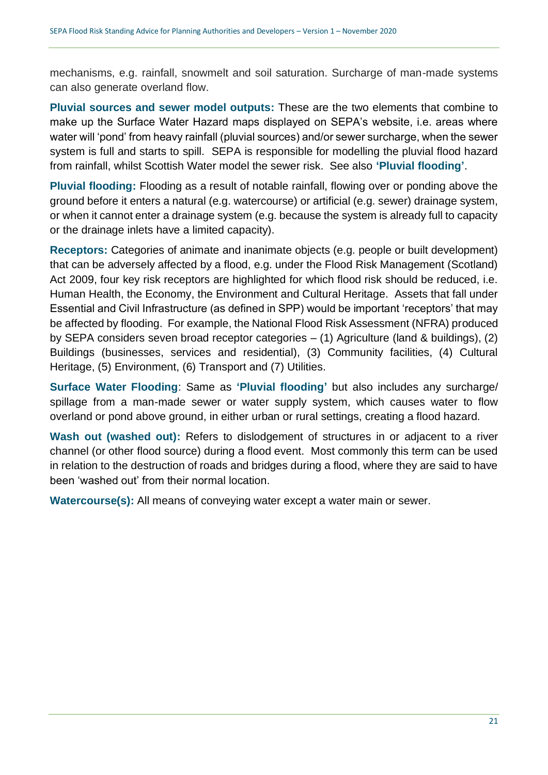mechanisms, e.g. rainfall, snowmelt and soil saturation. Surcharge of man-made systems can also generate overland flow.

**Pluvial sources and sewer model outputs:** These are the two elements that combine to make up the Surface Water Hazard maps displayed on SEPA's website, i.e. areas where water will 'pond' from heavy rainfall (pluvial sources) and/or sewer surcharge, when the sewer system is full and starts to spill. SEPA is responsible for modelling the pluvial flood hazard from rainfall, whilst Scottish Water model the sewer risk. See also **'Pluvial flooding'**.

**Pluvial flooding:** Flooding as a result of notable rainfall, flowing over or ponding above the ground before it enters a natural (e.g. watercourse) or artificial (e.g. sewer) drainage system, or when it cannot enter a drainage system (e.g. because the system is already full to capacity or the drainage inlets have a limited capacity).

**Receptors:** Categories of animate and inanimate objects (e.g. people or built development) that can be adversely affected by a flood, e.g. under the Flood Risk Management (Scotland) Act 2009, four key risk receptors are highlighted for which flood risk should be reduced, i.e. Human Health, the Economy, the Environment and Cultural Heritage. Assets that fall under Essential and Civil Infrastructure (as defined in SPP) would be important 'receptors' that may be affected by flooding. For example, the National Flood Risk Assessment (NFRA) produced by SEPA considers seven broad receptor categories – (1) Agriculture (land & buildings), (2) Buildings (businesses, services and residential), (3) Community facilities, (4) Cultural Heritage, (5) Environment, (6) Transport and (7) Utilities.

**Surface Water Flooding**: Same as **'Pluvial flooding'** but also includes any surcharge/ spillage from a man-made sewer or water supply system, which causes water to flow overland or pond above ground, in either urban or rural settings, creating a flood hazard.

Wash out (washed out): Refers to dislodgement of structures in or adjacent to a river channel (or other flood source) during a flood event. Most commonly this term can be used in relation to the destruction of roads and bridges during a flood, where they are said to have been 'washed out' from their normal location.

**Watercourse(s):** All means of conveying water except a water main or sewer.